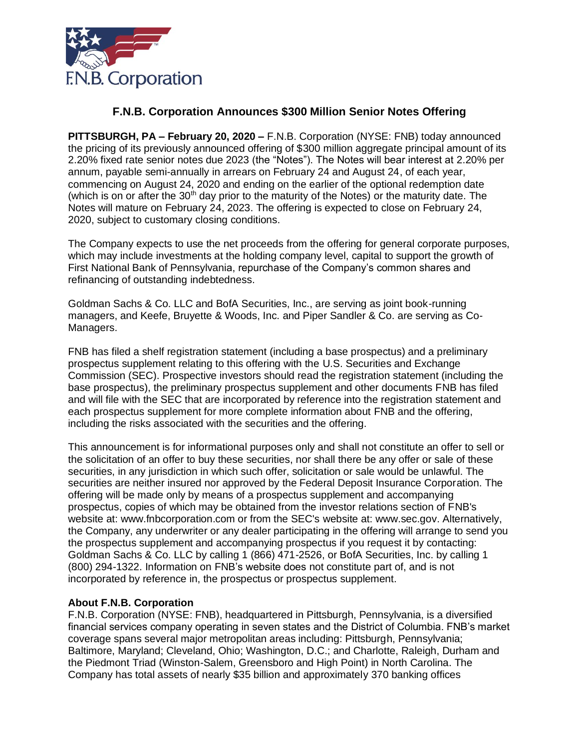

## **F.N.B. Corporation Announces \$300 Million Senior Notes Offering**

**PITTSBURGH, PA – February 20, 2020 –** F.N.B. Corporation (NYSE: FNB) today announced the pricing of its previously announced offering of \$300 million aggregate principal amount of its 2.20% fixed rate senior notes due 2023 (the "Notes"). The Notes will bear interest at 2.20% per annum, payable semi-annually in arrears on February 24 and August 24, of each year, commencing on August 24, 2020 and ending on the earlier of the optional redemption date (which is on or after the  $30<sup>th</sup>$  day prior to the maturity of the Notes) or the maturity date. The Notes will mature on February 24, 2023. The offering is expected to close on February 24, 2020, subject to customary closing conditions.

The Company expects to use the net proceeds from the offering for general corporate purposes, which may include investments at the holding company level, capital to support the growth of First National Bank of Pennsylvania, repurchase of the Company's common shares and refinancing of outstanding indebtedness.

Goldman Sachs & Co. LLC and BofA Securities, Inc., are serving as joint book-running managers, and Keefe, Bruyette & Woods, Inc. and Piper Sandler & Co. are serving as Co-Managers.

FNB has filed a shelf registration statement (including a base prospectus) and a preliminary prospectus supplement relating to this offering with the U.S. Securities and Exchange Commission (SEC). Prospective investors should read the registration statement (including the base prospectus), the preliminary prospectus supplement and other documents FNB has filed and will file with the SEC that are incorporated by reference into the registration statement and each prospectus supplement for more complete information about FNB and the offering, including the risks associated with the securities and the offering.

This announcement is for informational purposes only and shall not constitute an offer to sell or the solicitation of an offer to buy these securities, nor shall there be any offer or sale of these securities, in any jurisdiction in which such offer, solicitation or sale would be unlawful. The securities are neither insured nor approved by the Federal Deposit Insurance Corporation. The offering will be made only by means of a prospectus supplement and accompanying prospectus, copies of which may be obtained from the investor relations section of FNB's website at: www.fnbcorporation.com or from the SEC's website at: www.sec.gov. Alternatively, the Company, any underwriter or any dealer participating in the offering will arrange to send you the prospectus supplement and accompanying prospectus if you request it by contacting: Goldman Sachs & Co. LLC by calling 1 (866) 471-2526, or BofA Securities, Inc. by calling 1 (800) 294-1322. Information on FNB's website does not constitute part of, and is not incorporated by reference in, the prospectus or prospectus supplement.

## **About F.N.B. Corporation**

F.N.B. Corporation (NYSE: FNB), headquartered in Pittsburgh, Pennsylvania, is a diversified financial services company operating in seven states and the District of Columbia. FNB's market coverage spans several major metropolitan areas including: Pittsburgh, Pennsylvania; Baltimore, Maryland; Cleveland, Ohio; Washington, D.C.; and Charlotte, Raleigh, Durham and the Piedmont Triad (Winston-Salem, Greensboro and High Point) in North Carolina. The Company has total assets of nearly \$35 billion and approximately 370 banking offices